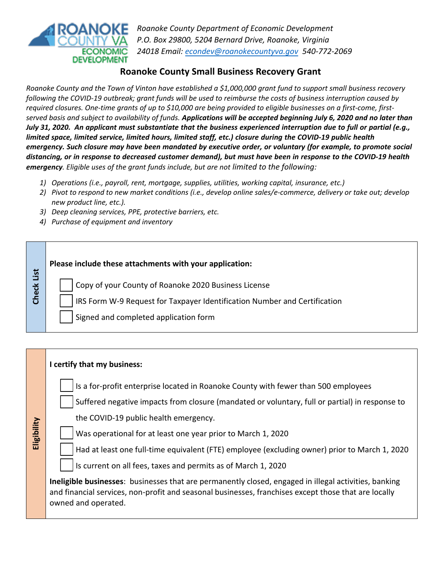

*Roanoke County Department of Economic Development P.O. Box 29800, 5204 Bernard Drive, Roanoke, Virginia 24018 [Email: econdev@roanokecountyv](mailto:econdev@roanokecountyva.gov)a.gov 540-772-2069* 

## **Roanoke County Small Business Recovery Grant**

*Roanoke County and the Town of Vinton have established a \$1,000,000 grant fund to support small business recovery following the COVID-19 outbreak; grant funds will be used to reimburse the costs of business interruption caused by required closures. One-time grants of up to \$10,000 are being provided to eligible businesses on a first-come, firstserved basis and subject to availability of funds. Applications will be accepted beginning July 6, 2020 and no later than July 31, 2020. An applicant must substantiate that the business experienced interruption due to full or partial (e.g., limited space, limited service, limited hours, limited staff, etc.) closure during the COVID-19 public health emergency. Such closure may have been mandated by executive order, or voluntary (for example, to promote social distancing, or in response to decreased customer demand), but must have been in response to the COVID-19 health emergency. Eligible uses of the grant funds include, but are not limited to the following:* 

- *1) Operations (i.e., payroll, rent, mortgage, supplies, utilities, working capital, insurance, etc.)*
- *2) Pivot to respond to new market conditions (i.e., develop online sales/e-commerce, delivery or take out; develop new product line, etc.).*
- *3) Deep cleaning services, PPE, protective barriers, etc.*
- *4) Purchase of equipment and inventory*

**Check List**

**Check List** 

## **Please include these attachments with your application:**

Copy of your County of Roanoke 2020 Business License

IRS Form W-9 Request for Taxpayer Identification Number and Certification

Signed and completed application form

|             | I certify that my business:                                                                                                                                                                                                                                                                                                                                                                                                                                                                                                                                                     |
|-------------|---------------------------------------------------------------------------------------------------------------------------------------------------------------------------------------------------------------------------------------------------------------------------------------------------------------------------------------------------------------------------------------------------------------------------------------------------------------------------------------------------------------------------------------------------------------------------------|
| Eligibility | Is a for-profit enterprise located in Roanoke County with fewer than 500 employees<br>Suffered negative impacts from closure (mandated or voluntary, full or partial) in response to<br>the COVID-19 public health emergency.<br>Was operational for at least one year prior to March 1, 2020<br>Had at least one full-time equivalent (FTE) employee (excluding owner) prior to March 1, 2020<br>Is current on all fees, taxes and permits as of March 1, 2020<br><b>Ineligible businesses:</b> businesses that are permanently closed, engaged in illegal activities, banking |
|             | and financial services, non-profit and seasonal businesses, franchises except those that are locally<br>owned and operated.                                                                                                                                                                                                                                                                                                                                                                                                                                                     |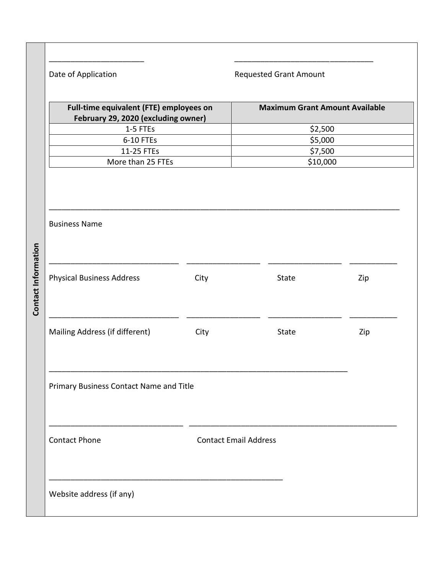\_\_\_\_\_\_\_\_\_\_\_\_\_\_\_\_\_\_\_\_\_\_ \_\_\_\_\_\_\_\_\_\_\_\_\_\_\_\_\_\_\_\_\_\_\_\_\_\_\_\_\_\_\_\_ Date of Application **Requested Grant Amount Full-time equivalent (FTE) employees on Maximum Grant Amount Available February 29, 2020 (excluding owner)** 1-5 FTEs  $\begin{array}{ccc} \text{1-5} & \text{52,500} \\ \text{2-5,500} & \text{1-5,500} \\ \text{2-5,500} & \text{2-5,500} \\ \text{2-5,500} & \text{2-5,500} \\ \text{2-5,500} & \text{2-5,500} \\ \text{2-5,500} & \text{2-5,500} \\ \text{2-5,500} & \text{2-5,500} \\ \text{2-5,500} & \text{2-5,500} \\ \text{2-5,500} & \text{2 6-10$  FTEs  $$5,000$ 11-25 FTEs  $\frac{1}{25}$   $\frac{1}{25}$   $\frac{1}{25}$   $\frac{1}{25}$   $\frac{1}{25}$   $\frac{1}{25}$   $\frac{1}{25}$   $\frac{1}{25}$   $\frac{1}{25}$   $\frac{1}{25}$   $\frac{1}{25}$   $\frac{1}{25}$   $\frac{1}{25}$   $\frac{1}{25}$   $\frac{1}{25}$   $\frac{1}{25}$   $\frac{1}{25}$   $\frac{1}{25}$   $\frac{1}{25}$  More than 25 FTEs  $\vert$  \$10,000 \_\_\_\_\_\_\_\_\_\_\_\_\_\_\_\_\_\_\_\_\_\_\_\_\_\_\_\_\_\_\_\_\_\_\_\_\_\_\_\_\_\_\_\_\_\_\_\_\_\_\_\_\_\_\_\_\_\_\_\_\_\_\_\_\_\_\_\_\_\_\_\_\_\_\_\_\_\_\_\_\_ Business Name **Contact Information Contact Information** \_\_\_\_\_\_\_\_\_\_\_\_\_\_\_\_\_\_\_\_\_\_\_\_\_\_\_\_\_\_ \_\_\_\_\_\_\_\_\_\_\_\_\_\_\_\_\_ \_\_\_\_\_\_\_\_\_\_\_\_\_\_\_\_\_ \_\_\_\_\_\_\_\_\_\_\_ Physical Business Address **City** City State **City** State Zip \_\_\_\_\_\_\_\_\_\_\_\_\_\_\_\_\_\_\_\_\_\_\_\_\_\_\_\_\_\_ \_\_\_\_\_\_\_\_\_\_\_\_\_\_\_\_\_ \_\_\_\_\_\_\_\_\_\_\_\_\_\_\_\_\_ \_\_\_\_\_\_\_\_\_\_\_ Mailing Address (if different) City City State Zip \_\_\_\_\_\_\_\_\_\_\_\_\_\_\_\_\_\_\_\_\_\_\_\_\_\_\_\_\_\_\_\_\_\_\_\_\_\_\_\_\_\_\_\_\_\_\_\_\_\_\_\_\_\_\_\_\_\_\_\_\_\_\_\_\_\_\_\_\_ Primary Business Contact Name and Title \_\_\_\_\_\_\_\_\_\_\_\_\_\_\_\_\_\_\_\_\_\_\_\_\_\_\_\_\_\_\_ \_\_\_\_\_\_\_\_\_\_\_\_\_\_\_\_\_\_\_\_\_\_\_\_\_\_\_\_\_\_\_\_\_\_\_\_\_\_\_\_\_\_\_\_\_\_\_\_ Contact Phone Contact Email Address \_\_\_\_\_\_\_\_\_\_\_\_\_\_\_\_\_\_\_\_\_\_\_\_\_\_\_\_\_\_\_\_\_\_\_\_\_\_\_\_\_\_\_\_\_\_\_\_\_\_\_\_\_\_ Website address (if any)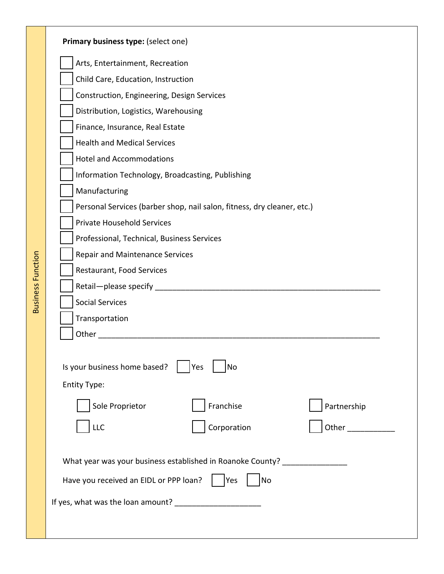|                          | Primary business type: (select one)                                                                           |
|--------------------------|---------------------------------------------------------------------------------------------------------------|
|                          | Arts, Entertainment, Recreation<br>Child Care, Education, Instruction                                         |
|                          | Construction, Engineering, Design Services                                                                    |
|                          | Distribution, Logistics, Warehousing                                                                          |
|                          | Finance, Insurance, Real Estate                                                                               |
|                          | <b>Health and Medical Services</b>                                                                            |
|                          | <b>Hotel and Accommodations</b>                                                                               |
|                          | Information Technology, Broadcasting, Publishing                                                              |
|                          | Manufacturing                                                                                                 |
|                          | Personal Services (barber shop, nail salon, fitness, dry cleaner, etc.)                                       |
|                          | <b>Private Household Services</b>                                                                             |
|                          | Professional, Technical, Business Services                                                                    |
|                          | <b>Repair and Maintenance Services</b>                                                                        |
|                          | Restaurant, Food Services                                                                                     |
| <b>Business Function</b> | Retail-please specify entitled and the control of the specify                                                 |
|                          | <b>Social Services</b>                                                                                        |
|                          | Transportation                                                                                                |
|                          | Other and the contract of the contract of the contract of the contract of the contract of the contract of the |
|                          | Is your business home based?<br>Yes<br>No<br><b>Entity Type:</b>                                              |
|                          | Sole Proprietor<br>Franchise<br>Partnership                                                                   |
|                          | Corporation<br><b>LLC</b>                                                                                     |
|                          | What year was your business established in Roanoke County? _____________________                              |
|                          | Have you received an EIDL or PPP loan?<br>Yes<br> No                                                          |
|                          |                                                                                                               |
|                          |                                                                                                               |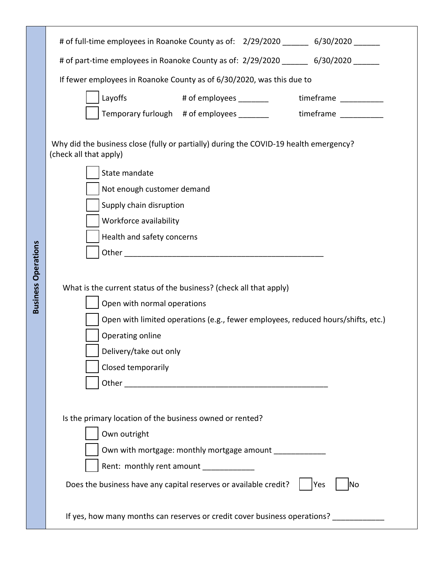|                            | # of full-time employees in Roanoke County as of: 2/29/2020 _______ 6/30/2020 ______                                                                           |
|----------------------------|----------------------------------------------------------------------------------------------------------------------------------------------------------------|
|                            | # of part-time employees in Roanoke County as of: 2/29/2020 _______ 6/30/2020 ______                                                                           |
|                            | If fewer employees in Roanoke County as of 6/30/2020, was this due to                                                                                          |
|                            | Layoffs<br># of employees _________<br>timeframe __________                                                                                                    |
|                            | Temporary furlough # of employees ________ timeframe _________                                                                                                 |
|                            | Why did the business close (fully or partially) during the COVID-19 health emergency?<br>(check all that apply)<br>State mandate<br>Not enough customer demand |
|                            | Supply chain disruption                                                                                                                                        |
|                            | Workforce availability                                                                                                                                         |
|                            | Health and safety concerns                                                                                                                                     |
|                            |                                                                                                                                                                |
|                            | What is the current status of the business? (check all that apply)                                                                                             |
| <b>Business Operations</b> | Open with normal operations                                                                                                                                    |
|                            | Open with limited operations (e.g., fewer employees, reduced hours/shifts, etc.)                                                                               |
|                            | Operating online                                                                                                                                               |
|                            | Delivery/take out only<br>Closed temporarily                                                                                                                   |
|                            |                                                                                                                                                                |
|                            |                                                                                                                                                                |
|                            |                                                                                                                                                                |
|                            | Is the primary location of the business owned or rented?                                                                                                       |
|                            | Own outright                                                                                                                                                   |
|                            | Own with mortgage: monthly mortgage amount                                                                                                                     |
|                            | Rent: monthly rent amount _____________                                                                                                                        |
|                            | Does the business have any capital reserves or available credit?<br> Yes<br>lNo                                                                                |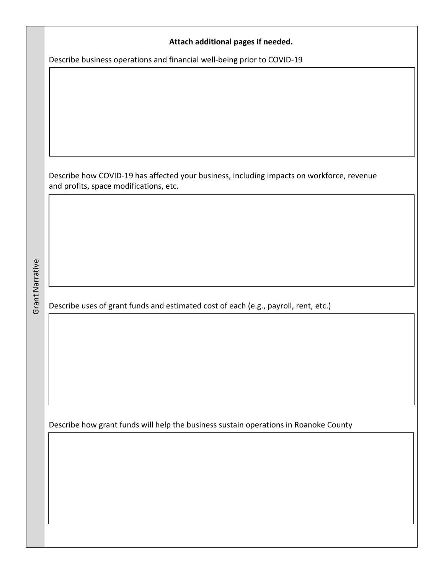|                 | Attach additional pages if needed.                                                                                                  |
|-----------------|-------------------------------------------------------------------------------------------------------------------------------------|
|                 | Describe business operations and financial well-being prior to COVID-19                                                             |
|                 |                                                                                                                                     |
|                 |                                                                                                                                     |
|                 |                                                                                                                                     |
|                 |                                                                                                                                     |
|                 |                                                                                                                                     |
|                 | Describe how COVID-19 has affected your business, including impacts on workforce, revenue<br>and profits, space modifications, etc. |
|                 |                                                                                                                                     |
|                 |                                                                                                                                     |
|                 |                                                                                                                                     |
|                 |                                                                                                                                     |
|                 |                                                                                                                                     |
| Grant Narrative |                                                                                                                                     |
|                 | Describe uses of grant funds and estimated cost of each (e.g., payroll, rent, etc.)                                                 |
|                 |                                                                                                                                     |
|                 |                                                                                                                                     |
|                 |                                                                                                                                     |
|                 |                                                                                                                                     |
|                 |                                                                                                                                     |
|                 | Describe how grant funds will help the business sustain operations in Roanoke County                                                |
|                 |                                                                                                                                     |
|                 |                                                                                                                                     |
|                 |                                                                                                                                     |
|                 |                                                                                                                                     |
|                 |                                                                                                                                     |
|                 |                                                                                                                                     |